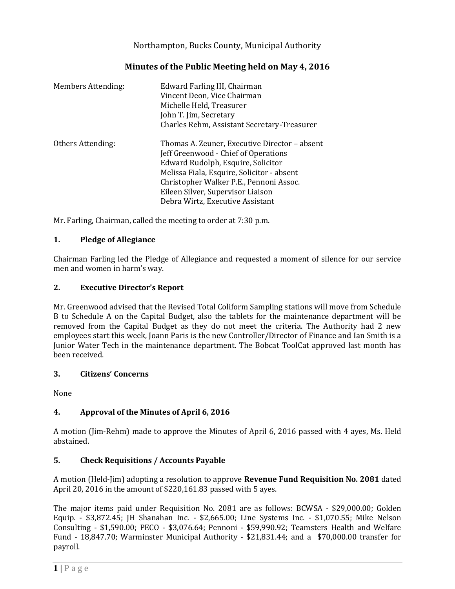Northampton, Bucks County, Municipal Authority

| <b>Members Attending:</b> | Edward Farling III, Chairman<br>Vincent Deon, Vice Chairman<br>Michelle Held, Treasurer<br>John T. Jim, Secretary<br>Charles Rehm, Assistant Secretary-Treasurer                                                                                                                              |
|---------------------------|-----------------------------------------------------------------------------------------------------------------------------------------------------------------------------------------------------------------------------------------------------------------------------------------------|
| Others Attending:         | Thomas A. Zeuner, Executive Director - absent<br>Jeff Greenwood - Chief of Operations<br>Edward Rudolph, Esquire, Solicitor<br>Melissa Fiala, Esquire, Solicitor - absent<br>Christopher Walker P.E., Pennoni Assoc.<br>Eileen Silver, Supervisor Liaison<br>Debra Wirtz, Executive Assistant |

Mr. Farling, Chairman, called the meeting to order at 7:30 p.m.

## **1. Pledge of Allegiance**

Chairman Farling led the Pledge of Allegiance and requested a moment of silence for our service men and women in harm's way.

## **2. Executive Director's Report**

Mr. Greenwood advised that the Revised Total Coliform Sampling stations will move from Schedule B to Schedule A on the Capital Budget, also the tablets for the maintenance department will be removed from the Capital Budget as they do not meet the criteria. The Authority had 2 new employees start this week, Joann Paris is the new Controller/Director of Finance and Ian Smith is a Junior Water Tech in the maintenance department. The Bobcat ToolCat approved last month has been received.

## **3. Citizens' Concerns**

None

## **4. Approval of the Minutes of April 6, 2016**

A motion (Jim-Rehm) made to approve the Minutes of April 6, 2016 passed with 4 ayes, Ms. Held abstained.

## **5. Check Requisitions / Accounts Payable**

A motion (Held-Jim) adopting a resolution to approve **Revenue Fund Requisition No. 2081** dated April 20, 2016 in the amount of \$220,161.83 passed with 5 ayes.

The major items paid under Requisition No. 2081 are as follows: BCWSA - \$29,000.00; Golden Equip. - \$3,872.45; JH Shanahan Inc. - \$2,665.00; Line Systems Inc. - \$1,070.55; Mike Nelson Consulting - \$1,590.00; PECO - \$3,076.64; Pennoni - \$59,990.92; Teamsters Health and Welfare Fund - 18,847.70; Warminster Municipal Authority - \$21,831.44; and a \$70,000.00 transfer for payroll.